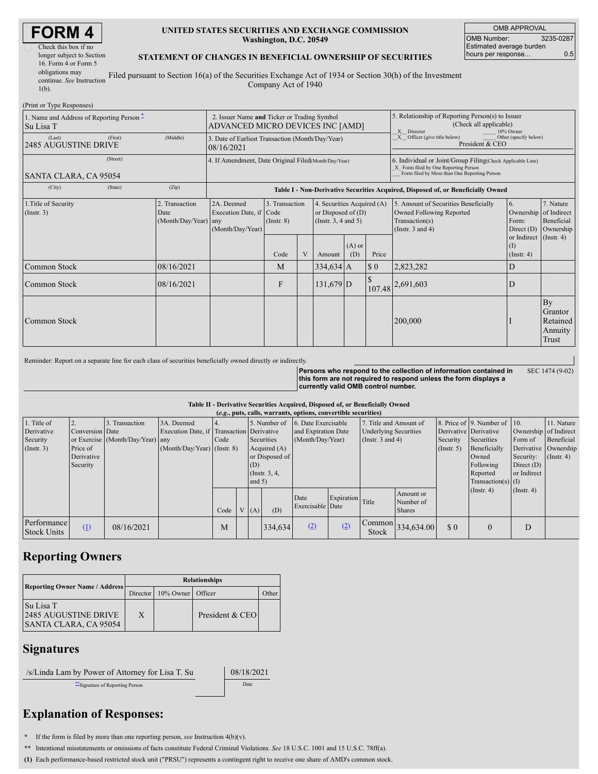| Check this box if no      |
|---------------------------|
| longer subject to Section |
| 16. Form 4 or Form 5      |
| obligations may           |
| continue. See Instruction |
| $1(b)$ .                  |

#### **UNITED STATES SECURITIES AND EXCHANGE COMMISSION Washington, D.C. 20549**

OMB APPROVAL OMB Number: 3235-0287 Estimated average burden hours per response... 0.5

#### **STATEMENT OF CHANGES IN BENEFICIAL OWNERSHIP OF SECURITIES**

Filed pursuant to Section 16(a) of the Securities Exchange Act of 1934 or Section 30(h) of the Investment Company Act of 1940

| (Print or Type Responses)                                |                                                                                 |                                                                                  |                                           |   |                                                                                                             |                                                                                                       |                                                                                                                                                     |                                                                                                             |                                                                                                         |                                               |  |
|----------------------------------------------------------|---------------------------------------------------------------------------------|----------------------------------------------------------------------------------|-------------------------------------------|---|-------------------------------------------------------------------------------------------------------------|-------------------------------------------------------------------------------------------------------|-----------------------------------------------------------------------------------------------------------------------------------------------------|-------------------------------------------------------------------------------------------------------------|---------------------------------------------------------------------------------------------------------|-----------------------------------------------|--|
| 1. Name and Address of Reporting Person -<br>  Su Lisa T | 2. Issuer Name and Ticker or Trading Symbol<br>ADVANCED MICRO DEVICES INC [AMD] |                                                                                  |                                           |   |                                                                                                             | 5. Relationship of Reporting Person(s) to Issuer<br>(Check all applicable)<br>10% Owner<br>X Director |                                                                                                                                                     |                                                                                                             |                                                                                                         |                                               |  |
| (Last)<br>(First)<br>2485 AUGUSTINE DRIVE                | (Middle)                                                                        | 3. Date of Earliest Transaction (Month/Day/Year)<br>08/16/2021                   |                                           |   |                                                                                                             |                                                                                                       |                                                                                                                                                     | $X$ Officer (give title below)<br>Other (specify below)<br>President & CEO                                  |                                                                                                         |                                               |  |
| (Street)<br>SANTA CLARA, CA 95054                        | 4. If Amendment, Date Original Filed (Month/Day/Year)                           |                                                                                  |                                           |   |                                                                                                             |                                                                                                       | 6. Individual or Joint/Group Filing (Check Applicable Line)<br>X Form filed by One Reporting Person<br>Form filed by More than One Reporting Person |                                                                                                             |                                                                                                         |                                               |  |
| (City)<br>(State)                                        | (Zip)                                                                           | Table I - Non-Derivative Securities Acquired, Disposed of, or Beneficially Owned |                                           |   |                                                                                                             |                                                                                                       |                                                                                                                                                     |                                                                                                             |                                                                                                         |                                               |  |
| 1. Title of Security<br>(Insert. 3)                      | 2. Transaction<br>Date<br>(Month/Day/Year) any                                  | 2A. Deemed<br>Execution Date, if Code<br>(Month/Day/Year)                        | 3. Transaction<br>$($ Instr. $8)$<br>Code | V | 4. Securities Acquired (A)<br>or Disposed of $(D)$<br>(Instr. $3, 4$ and $5$ )<br>$(A)$ or<br>(D)<br>Amount |                                                                                                       | Price                                                                                                                                               | 5. Amount of Securities Beneficially<br>Owned Following Reported<br>Transaction(s)<br>(Instr. $3$ and $4$ ) | 6.<br>Ownership of Indirect<br>Form:<br>Direct (D)<br>or Indirect (Instr. 4)<br>(I)<br>$($ Instr. 4 $)$ | 7. Nature<br>Beneficial<br>Ownership          |  |
| Common Stock                                             | 08/16/2021                                                                      |                                                                                  | M                                         |   | $334,634$ A                                                                                                 |                                                                                                       | $\boldsymbol{\mathsf{S}}$ 0                                                                                                                         | 2,823,282                                                                                                   | D                                                                                                       |                                               |  |
| Common Stock                                             | 08/16/2021                                                                      |                                                                                  | $\mathbf{F}$                              |   | $131,679$ D                                                                                                 |                                                                                                       |                                                                                                                                                     | 107.48 2,691,603                                                                                            | D                                                                                                       |                                               |  |
| Common Stock                                             |                                                                                 |                                                                                  |                                           |   |                                                                                                             |                                                                                                       |                                                                                                                                                     | 200,000                                                                                                     |                                                                                                         | By<br>Grantor<br>Retained<br>Annuity<br>Trust |  |

Reminder: Report on a separate line for each class of securities beneficially owned directly or indirectly.

**Persons who respond to the collection of information contained in this form are not required to respond unless the form displays a currently valid OMB control number.**

SEC 1474 (9-02)

**Table II - Derivative Securities Acquired, Disposed of, or Beneficially Owned**

| (e.g., puts, calls, warrants, options, convertible securities) |                 |                                  |                                           |      |  |          |                 |                          |                  |                              |                                       |                  |                              |                  |                       |
|----------------------------------------------------------------|-----------------|----------------------------------|-------------------------------------------|------|--|----------|-----------------|--------------------------|------------------|------------------------------|---------------------------------------|------------------|------------------------------|------------------|-----------------------|
| 1. Title of                                                    |                 | Transaction                      | 3A. Deemed                                |      |  |          | 5. Number of    | 6. Date Exercisable      |                  | 7. Title and Amount of       |                                       |                  | 8. Price of 9. Number of 10. |                  | 11. Nature            |
| Derivative                                                     | Conversion Date |                                  | Execution Date, if Transaction Derivative |      |  |          |                 | and Expiration Date      |                  | <b>Underlying Securities</b> |                                       |                  | Derivative Derivative        |                  | Ownership of Indirect |
| Security                                                       |                 | or Exercise (Month/Day/Year) any |                                           | Code |  |          | Securities      | (Month/Day/Year)         |                  | (Instr. $3$ and $4$ )        |                                       | Security         | Securities                   | Form of          | Beneficial            |
| $($ Instr. 3 $)$                                               | Price of        |                                  | (Month/Day/Year) (Instr. 8)               |      |  |          | Acquired (A)    |                          |                  |                              |                                       | $($ Instr. 5 $)$ | Beneficially                 |                  | Derivative Ownership  |
|                                                                | Derivative      |                                  |                                           |      |  |          | or Disposed of  |                          |                  |                              |                                       |                  | Owned                        | Security:        | $($ Instr. 4 $)$      |
|                                                                | Security        |                                  |                                           |      |  | (D)      |                 |                          |                  |                              |                                       |                  | Following                    | Direct $(D)$     |                       |
|                                                                |                 |                                  |                                           |      |  |          | (Instr. $3, 4,$ |                          |                  |                              |                                       |                  | Reported                     | or Indirect      |                       |
|                                                                |                 |                                  |                                           |      |  | and $5)$ |                 |                          |                  |                              |                                       |                  | Transaction(s) $(I)$         |                  |                       |
|                                                                |                 |                                  |                                           |      |  |          |                 |                          |                  |                              | Amount or                             |                  | $($ Instr. 4 $)$             | $($ Instr. 4 $)$ |                       |
|                                                                |                 |                                  |                                           |      |  |          |                 | Date<br>Exercisable Date | Expiration Title |                              | Number of                             |                  |                              |                  |                       |
|                                                                |                 |                                  |                                           | Code |  | V(A)     | (D)             |                          |                  |                              | <b>Shares</b>                         |                  |                              |                  |                       |
| Performance<br><b>Stock Units</b>                              | (1)             | 08/16/2021                       |                                           | М    |  |          | 334,634         | (2)                      | (2)              | Stock                        | $\lfloor$ Common $\rfloor$ 334,634.00 | \$0              | $\theta$                     | D                |                       |

## **Reporting Owners**

|                                                                   | <b>Relationships</b> |              |                 |       |  |  |  |  |
|-------------------------------------------------------------------|----------------------|--------------|-----------------|-------|--|--|--|--|
| <b>Reporting Owner Name / Address</b>                             | Director             | $10\%$ Owner | Officer         | Other |  |  |  |  |
| Su Lisa T<br><b>2485 AUGUSTINE DRIVE</b><br>SANTA CLARA, CA 95054 | X                    |              | President & CEO |       |  |  |  |  |

### **Signatures**

/s/Linda Lam by Power of Attorney for Lisa T. Su 08/18/2021

\*\*Signature of Reporting Person Date

# **Explanation of Responses:**

**\*** If the form is filed by more than one reporting person, *see* Instruction 4(b)(v).

**\*\*** Intentional misstatements or omissions of facts constitute Federal Criminal Violations. *See* 18 U.S.C. 1001 and 15 U.S.C. 78ff(a).

**(1)** Each performance-based restricted stock unit ("PRSU") represents a contingent right to receive one share of AMD's common stock.